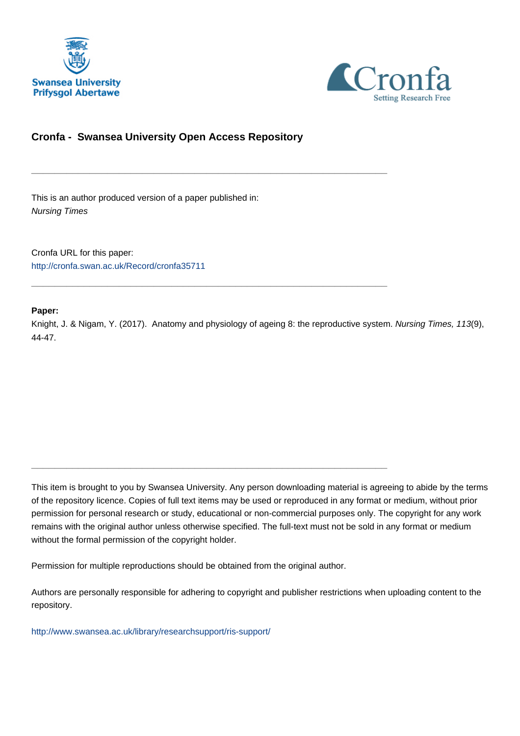



# **Cronfa - Swansea University Open Access Repository**

\_\_\_\_\_\_\_\_\_\_\_\_\_\_\_\_\_\_\_\_\_\_\_\_\_\_\_\_\_\_\_\_\_\_\_\_\_\_\_\_\_\_\_\_\_\_\_\_\_\_\_\_\_\_\_\_\_\_\_\_\_

\_\_\_\_\_\_\_\_\_\_\_\_\_\_\_\_\_\_\_\_\_\_\_\_\_\_\_\_\_\_\_\_\_\_\_\_\_\_\_\_\_\_\_\_\_\_\_\_\_\_\_\_\_\_\_\_\_\_\_\_\_

\_\_\_\_\_\_\_\_\_\_\_\_\_\_\_\_\_\_\_\_\_\_\_\_\_\_\_\_\_\_\_\_\_\_\_\_\_\_\_\_\_\_\_\_\_\_\_\_\_\_\_\_\_\_\_\_\_\_\_\_\_

This is an author produced version of a paper published in: Nursing Times

Cronfa URL for this paper: <http://cronfa.swan.ac.uk/Record/cronfa35711>

## **Paper:**

Knight, J. & Nigam, Y. (2017). Anatomy and physiology of ageing 8: the reproductive system. Nursing Times, 113(9), 44-47.

This item is brought to you by Swansea University. Any person downloading material is agreeing to abide by the terms of the repository licence. Copies of full text items may be used or reproduced in any format or medium, without prior permission for personal research or study, educational or non-commercial purposes only. The copyright for any work remains with the original author unless otherwise specified. The full-text must not be sold in any format or medium without the formal permission of the copyright holder.

Permission for multiple reproductions should be obtained from the original author.

Authors are personally responsible for adhering to copyright and publisher restrictions when uploading content to the repository.

[http://www.swansea.ac.uk/library/researchsupport/ris-support/](http://www.swansea.ac.uk/library/researchsupport/ris-support/ )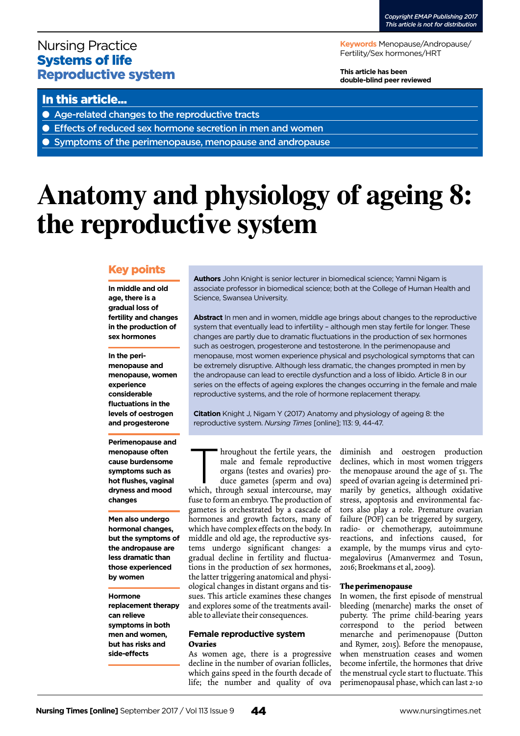# Nursing Practice Systems of life Reproductive system

**Keywords** Menopause/Andropause/ Fertility/Sex hormones/HRT

**This article has been double-blind peer reviewed**

# In this article...

- Age-related changes to the reproductive tracts
- Effects of reduced sex hormone secretion in men and women
- Symptoms of the perimenopause, menopause and andropause

# **Anatomy and physiology of ageing 8: the reproductive system**

## Key points

**In middle and old age, there is a gradual loss of fertility and changes in the production of sex hormones**

**In the perimenopause and menopause, women experience considerable fluctuations in the levels of oestrogen and progesterone**

**Perimenopause and menopause often cause burdensome symptoms such as hot flushes, vaginal dryness and mood changes**

**Men also undergo hormonal changes, but the symptoms of the andropause are less dramatic than those experienced by women**

## **Hormone replacement therapy can relieve symptoms in both men and women, but has risks and side-effects**

**Authors** John Knight is senior lecturer in biomedical science; Yamni Nigam is associate professor in biomedical science; both at the College of Human Health and Science, Swansea University.

**Abstract** In men and in women, middle age brings about changes to the reproductive system that eventually lead to infertility – although men stay fertile for longer. These changes are partly due to dramatic fluctuations in the production of sex hormones such as oestrogen, progesterone and testosterone. In the perimenopause and menopause, most women experience physical and psychological symptoms that can be extremely disruptive. Although less dramatic, the changes prompted in men by the andropause can lead to erectile dysfunction and a loss of libido. Article 8 in our series on the effects of ageing explores the changes occurring in the female and male reproductive systems, and the role of hormone replacement therapy.

**Citation** Knight J, Nigam Y (2017) Anatomy and physiology of ageing 8: the reproductive system. *Nursing Times* [online]; 113: 9, 44-47.

kroughout the fertile years, the male and female reproductive organs (testes and ovaries) produce gametes (sperm and ova) which, through sexual intercourse, may male and female reproductive organs (testes and ovaries) produce gametes (sperm and ova) fuse to form an embryo. The production of gametes is orchestrated by a cascade of hormones and growth factors, many of which have complex effects on the body. In middle and old age, the reproductive systems undergo significant changes: a gradual decline in fertility and fluctuations in the production of sex hormones, the latter triggering anatomical and physiological changes in distant organs and tissues. This article examines these changes and explores some of the treatments available to alleviate their consequences.

#### **Female reproductive system Ovaries**

As women age, there is a progressive decline in the number of ovarian follicles, which gains speed in the fourth decade of life; the number and quality of ova

diminish and oestrogen production declines, which in most women triggers the menopause around the age of 51. The speed of ovarian ageing is determined primarily by genetics, although oxidative stress, apoptosis and environmental factors also play a role. Premature ovarian failure (POF) can be triggered by surgery, radio- or chemotherapy, autoimmune reactions, and infections caused, for example, by the mumps virus and cytomegalovirus (Amanvermez and Tosun, 2016; Broekmans et al, 2009).

#### **The perimenopause**

In women, the first episode of menstrual bleeding (menarche) marks the onset of puberty. The prime child-bearing years correspond to the period between menarche and perimenopause (Dutton and Rymer, 2015). Before the menopause, when menstruation ceases and women become infertile, the hormones that drive the menstrual cycle start to fluctuate. This perimenopausal phase, which can last 2-10

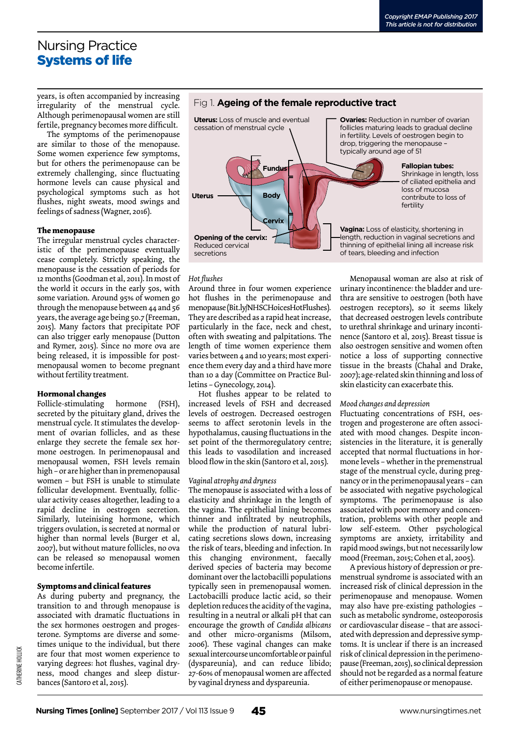# Nursing Practice Systems of life

years, is often accompanied by increasing irregularity of the menstrual cycle. Although perimenopausal women are still fertile, pregnancy becomes more difficult.

The symptoms of the perimenopause are similar to those of the menopause. Some women experience few symptoms, but for others the perimenopause can be extremely challenging, since fluctuating hormone levels can cause physical and psychological symptoms such as hot flushes, night sweats, mood swings and feelings of sadness (Wagner, 2016).

#### **The menopause**

The irregular menstrual cycles characteristic of the perimenopause eventually cease completely. Strictly speaking, the menopause is the cessation of periods for 12 months (Goodman et al, 2011). In most of the world it occurs in the early 50s, with some variation. Around 95% of women go through the menopause between 44 and 56 years, the average age being 50.7 (Freeman, 2015). Many factors that precipitate POF can also trigger early menopause (Dutton and Rymer, 2015). Since no more ova are being released, it is impossible for postmenopausal women to become pregnant without fertility treatment.

#### **Hormonal changes**

Follicle-stimulating hormone (FSH), secreted by the pituitary gland, drives the menstrual cycle. It stimulates the development of ovarian follicles, and as these enlarge they secrete the female sex hormone oestrogen. In perimenopausal and menopausal women, FSH levels remain high – or are higher than in premenopausal women – but FSH is unable to stimulate follicular development. Eventually, follicular activity ceases altogether, leading to a rapid decline in oestrogen secretion. Similarly, luteinising hormone, which triggers ovulation, is secreted at normal or higher than normal levels (Burger et al, 2007), but without mature follicles, no ova can be released so menopausal women become infertile.

#### **Symptoms and clinical features**

As during puberty and pregnancy, the transition to and through menopause is associated with dramatic fluctuations in the sex hormones oestrogen and progesterone. Symptoms are diverse and sometimes unique to the individual, but there are four that most women experience to varying degrees: hot flushes, vaginal dryness, mood changes and sleep disturbances (Santoro et al, 2015).

## Fig 1. **Ageing of the female reproductive tract**



#### *Hot flushes*

Around three in four women experience hot flushes in the perimenopause and menopause (Bit.ly/NHSCHoicesHotFlushes). They are described as a rapid heat increase, particularly in the face, neck and chest, often with sweating and palpitations. The length of time women experience them varies between 4 and 10 years; most experience them every day and a third have more than 10 a day (Committee on Practice Bulletins – Gynecology, 2014).

Hot flushes appear to be related to increased levels of FSH and decreased levels of oestrogen. Decreased oestrogen seems to affect serotonin levels in the hypothalamus, causing fluctuations in the set point of the thermoregulatory centre; this leads to vasodilation and increased blood flow in the skin (Santoro et al, 2015).

#### *Vaginal atrophy and dryness*

The menopause is associated with a loss of elasticity and shrinkage in the length of the vagina. The epithelial lining becomes thinner and infiltrated by neutrophils, while the production of natural lubricating secretions slows down, increasing the risk of tears, bleeding and infection. In this changing environment, faecally derived species of bacteria may become dominant over the lactobacilli populations typically seen in premenopausal women. Lactobacilli produce lactic acid, so their depletion reduces the acidity of the vagina, resulting in a neutral or alkali pH that can encourage the growth of *Candida albicans*  and other micro-organisms (Milsom, 2006). These vaginal changes can make sexual intercourse uncomfortable or painful (dyspareunia), and can reduce libido; 27-60% of menopausal women are affected by vaginal dryness and dyspareunia.

Menopausal woman are also at risk of urinary incontinence: the bladder and urethra are sensitive to oestrogen (both have oestrogen receptors), so it seems likely that decreased oestrogen levels contribute to urethral shrinkage and urinary incontinence (Santoro et al, 2015). Breast tissue is also oestrogen sensitive and women often notice a loss of supporting connective tissue in the breasts (Chahal and Drake, 2007); age-related skin thinning and loss of skin elasticity can exacerbate this.

#### *Mood changes and depression*

Fluctuating concentrations of FSH, oestrogen and progesterone are often associated with mood changes. Despite inconsistencies in the literature, it is generally accepted that normal fluctuations in hormone levels – whether in the premenstrual stage of the menstrual cycle, during pregnancy or in the perimenopausal years – can be associated with negative psychological symptoms. The perimenopause is also associated with poor memory and concentration, problems with other people and low self-esteem. Other psychological symptoms are anxiety, irritability and rapid mood swings, but not necessarily low mood (Freeman, 2015; Cohen et al, 2005).

A previous history of depression or premenstrual syndrome is associated with an increased risk of clinical depression in the perimenopause and menopause. Women may also have pre-existing pathologies – such as metabolic syndrome, osteoporosis or cardiovascular disease – that are associated with depression and depressive symptoms. It is unclear if there is an increased risk of clinical depression in the perimenopause (Freeman, 2015), so clinical depression should not be regarded as a normal feature of either perimenopause or menopause.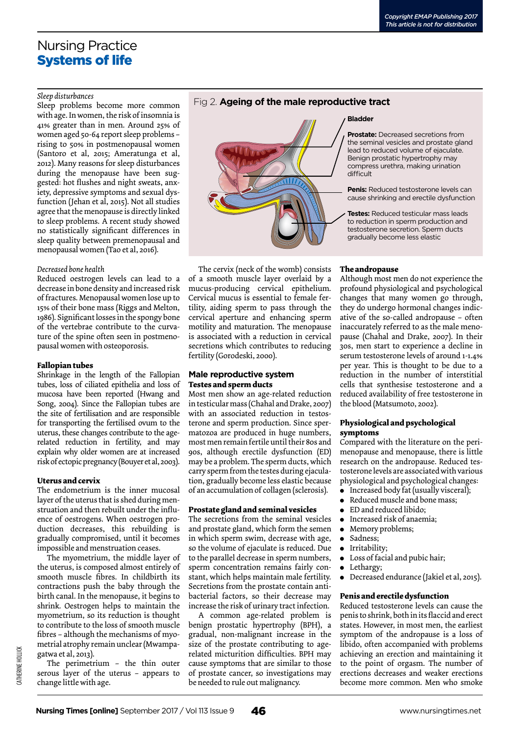# Nursing Practice Systems of life

#### *Sleep disturbances*

Sleep problems become more common with age. In women, the risk of insomnia is 41% greater than in men. Around 25% of women aged 50-64 report sleep problems – rising to 50% in postmenopausal women (Santoro et al, 2015; Ameratunga et al, 2012). Many reasons for sleep disturbances during the menopause have been suggested: hot flushes and night sweats, anxiety, depressive symptoms and sexual dysfunction (Jehan et al, 2015). Not all studies agree that the menopause is directly linked to sleep problems. A recent study showed no statistically significant differences in sleep quality between premenopausal and menopausal women (Tao et al, 2016).

#### *Decreased bone health*

Reduced oestrogen levels can lead to a decrease in bone density and increased risk of fractures. Menopausal women lose up to 15% of their bone mass (Riggs and Melton, 1986). Significant losses in the spongy bone of the vertebrae contribute to the curvature of the spine often seen in postmenopausal women with osteoporosis.

#### **Fallopian tubes**

Shrinkage in the length of the Fallopian tubes, loss of ciliated epithelia and loss of mucosa have been reported (Hwang and Song, 2004). Since the Fallopian tubes are the site of fertilisation and are responsible for transporting the fertilised ovum to the uterus, these changes contribute to the agerelated reduction in fertility, and may explain why older women are at increased risk of ectopic pregnancy (Bouyer et al, 2003).

## **Uterus and cervix**

The endometrium is the inner mucosal layer of the uterus that is shed during menstruation and then rebuilt under the influence of oestrogens. When oestrogen production decreases, this rebuilding is gradually compromised, until it becomes impossible and menstruation ceases.

The myometrium, the middle layer of the uterus, is composed almost entirely of smooth muscle fibres. In childbirth its contractions push the baby through the birth canal. In the menopause, it begins to shrink. Oestrogen helps to maintain the myometrium, so its reduction is thought to contribute to the loss of smooth muscle fibres – although the mechanisms of myometrial atrophy remain unclear (Mwampagatwa et al, 2013).

The perimetrium – the thin outer serous layer of the uterus – appears to change little with age.

## Fig 2. **Ageing of the male reproductive tract**



The cervix (neck of the womb) consists of a smooth muscle layer overlaid by a mucus-producing cervical epithelium. Cervical mucus is essential to female fertility, aiding sperm to pass through the cervical aperture and enhancing sperm motility and maturation. The menopause is associated with a reduction in cervical secretions which contributes to reducing fertility (Gorodeski, 2000).

#### **Male reproductive system Testes and sperm ducts**

Most men show an age-related reduction in testicular mass (Chahal and Drake, 2007) with an associated reduction in testosterone and sperm production. Since spermatozoa are produced in huge numbers, most men remain fertile until their 80s and 90s, although erectile dysfunction (ED) may be a problem. The sperm ducts, which carry sperm from the testes during ejaculation, gradually become less elastic because of an accumulation of collagen (sclerosis).

## **Prostate gland and seminal vesicles**

The secretions from the seminal vesicles and prostate gland, which form the semen in which sperm swim, decrease with age, so the volume of ejaculate is reduced. Due to the parallel decrease in sperm numbers, sperm concentration remains fairly constant, which helps maintain male fertility. Secretions from the prostate contain antibacterial factors, so their decrease may increase the risk of urinary tract infection.

A common age-related problem is benign prostatic hypertrophy (BPH), a gradual, non-malignant increase in the size of the prostate contributing to agerelated micturition difficulties. BPH may cause symptoms that are similar to those of prostate cancer, so investigations may be needed to rule out malignancy.

#### **Bladder**

**Prostate:** Decreased secretions from the seminal vesicles and prostate gland lead to reduced volume of ejaculate. Benign prostatic hypertrophy may compress urethra, making urination difficult

**Penis:** Reduced testosterone levels can cause shrinking and erectile dysfunction

**Testes:** Reduced testicular mass leads to reduction in sperm production and testosterone secretion. Sperm ducts gradually become less elastic

## **The andropause**

Although most men do not experience the profound physiological and psychological changes that many women go through, they do undergo hormonal changes indicative of the so-called andropause – often inaccurately referred to as the male menopause (Chahal and Drake, 2007). In their 30s, men start to experience a decline in serum testosterone levels of around 1-1.4% per year. This is thought to be due to a reduction in the number of interstitial cells that synthesise testosterone and a reduced availability of free testosterone in the blood (Matsumoto, 2002).

## **Physiological and psychological symptoms**

Compared with the literature on the perimenopause and menopause, there is little research on the andropause. Reduced testosterone levels are associated with various physiological and psychological changes:

- <sup>l</sup> Increased body fat (usually visceral);
- Reduced muscle and bone mass;
- ED and reduced libido;
- $\bullet$  Increased risk of anaemia;
- Memory problems;
- Sadness; • Irritability;
- Loss of facial and pubic hair;
- Lethargy;
- <sup>l</sup> Decreased endurance (Jakiel et al, 2015).

#### **Penis and erectile dysfunction**

Reduced testosterone levels can cause the penis to shrink, both in its flaccid and erect states. However, in most men, the earliest symptom of the andropause is a loss of libido, often accompanied with problems achieving an erection and maintaining it to the point of orgasm. The number of erections decreases and weaker erections become more common. Men who smoke